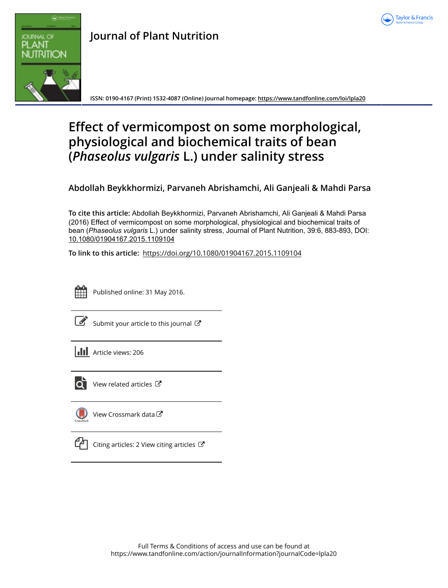



## **Journal of Plant Nutrition**

**ISSN: 0190-4167 (Print) 1532-4087 (Online) Journal homepage:<https://www.tandfonline.com/loi/lpla20>**

# **Effect of vermicompost on some morphological, physiological and biochemical traits of bean (***Phaseolus vulgaris* **L.) under salinity stress**

**Abdollah Beykkhormizi, Parvaneh Abrishamchi, Ali Ganjeali & Mahdi Parsa**

**To cite this article:** Abdollah Beykkhormizi, Parvaneh Abrishamchi, Ali Ganjeali & Mahdi Parsa (2016) Effect of vermicompost on some morphological, physiological and biochemical traits of bean (*Phaseolusvulgaris* L.) under salinity stress, Journal of Plant Nutrition, 39:6, 883-893, DOI: [10.1080/01904167.2015.1109104](https://www.tandfonline.com/action/showCitFormats?doi=10.1080/01904167.2015.1109104)

**To link to this article:** <https://doi.org/10.1080/01904167.2015.1109104>



Published online: 31 May 2016.

|--|

[Submit your article to this journal](https://www.tandfonline.com/action/authorSubmission?journalCode=lpla20&show=instructions)  $\mathbb{Z}$ 



 $\overrightarrow{Q}$  [View related articles](https://www.tandfonline.com/doi/mlt/10.1080/01904167.2015.1109104)  $\overrightarrow{C}$ 



[View Crossmark data](http://crossmark.crossref.org/dialog/?doi=10.1080/01904167.2015.1109104&domain=pdf&date_stamp=2016-05-31)<sup>C</sup>



[Citing articles: 2 View citing articles](https://www.tandfonline.com/doi/citedby/10.1080/01904167.2015.1109104#tabModule)  $\mathbb{Z}$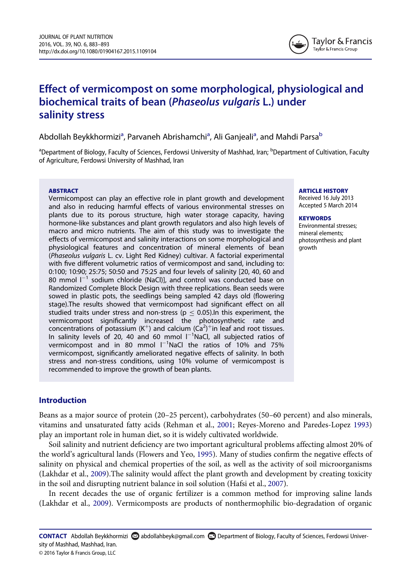

## Effect of vermicompost on some morphological, physiological and biochemical traits of bean (Phaseolus vulgaris L.) under salinity stress

Abdoll[a](#page-1-0)h Beykkhormizi<sup>a</sup>, Parvaneh Abrishamchi<sup>a</sup>, Ali Ganjeali<sup>a</sup>, and Mahdi Parsa<sup>b</sup>

<span id="page-1-0"></span><sup>a</sup>Department of Biology, Faculty of Sciences, Ferdowsi University of Mashhad, Iran; <sup>b</sup>Department of Cultivation, Faculty of Agriculture, Ferdowsi University of Mashhad, Iran

#### ABSTRACT

Vermicompost can play an effective role in plant growth and development and also in reducing harmful effects of various environmental stresses on plants due to its porous structure, high water storage capacity, having hormone-like substances and plant growth regulators and also high levels of macro and micro nutrients. The aim of this study was to investigate the effects of vermicompost and salinity interactions on some morphological and physiological features and concentration of mineral elements of bean (Phaseolus vulgaris L. cv. Light Red Kidney) cultivar. A factorial experimental with five different volumetric ratios of vermicompost and sand, including to: 0:100; 10:90; 25:75; 50:50 and 75:25 and four levels of salinity [20, 40, 60 and 80 mmol  $I^{-1}$  sodium chloride (NaCl)], and control was conducted base on Randomized Complete Block Design with three replications. Bean seeds were sowed in plastic pots, the seedlings being sampled 42 days old (flowering stage).The results showed that vermicompost had significant effect on all studied traits under stress and non-stress ( $p \leq 0.05$ ). In this experiment, the vermicompost significantly increased the photosynthetic rate and concentrations of potassium (K<sup>+</sup>) and calcium (Ca<sup>2</sup>)<sup>+</sup>in leaf and root tissues. In salinity levels of 20, 40 and 60 mmol  $I^{-1}$ NaCl, all subjected ratios of vermicompost and in 80 mmol  $I^{-1}$ NaCl the ratios of 10% and 75% vermicompost, significantly ameliorated negative effects of salinity. In both stress and non-stress conditions, using 10% volume of vermicompost is recommended to improve the growth of bean plants.

### ARTICLE HISTORY

Received 16 July 2013 Accepted 5 March 2014

#### **KEYWORDS**

Environmental stresses; mineral elements; photosynthesis and plant growth

#### Introduction

Beans as a major source of protein (20–25 percent), carbohydrates (50–60 percent) and also minerals, vitamins and unsaturated fatty acids (Rehman et al., [2001;](#page-11-0) Reyes-Moreno and Paredes-Lopez [1993\)](#page-11-1) play an important role in human diet, so it is widely cultivated worldwide.

Soil salinity and nutrient deficiency are two important agricultural problems affecting almost 20% of the world's agricultural lands (Flowers and Yeo, [1995\)](#page-10-0). Many of studies confirm the negative effects of salinity on physical and chemical properties of the soil, as well as the activity of soil microorganisms (Lakhdar et al., [2009](#page-11-2)).The salinity would affect the plant growth and development by creating toxicity in the soil and disrupting nutrient balance in soil solution (Hafsi et al., [2007\)](#page-10-1).

In recent decades the use of organic fertilizer is a common method for improving saline lands (Lakhdar et al., [2009](#page-11-2)). Vermicomposts are products of nonthermophilic bio-degradation of organic

CONTACT Abdollah Beykkhormizi abdollahbeyk@gmail.com Department of Biology, Faculty of Sciences, Ferdowsi University of Mashhad, Mashhad, Iran.

© 2016 Taylor & Francis Group, LLC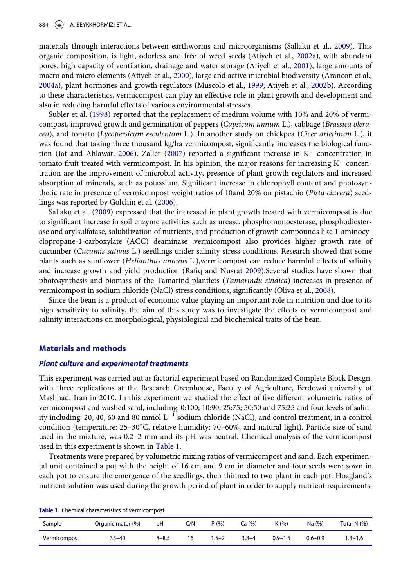materials through interactions between earthworms and microorganisms (Sallaku et al., [2009](#page-11-3)). This organic composition, is light, odorless and free of weed seeds (Atiyeh et al., [2002a](#page-10-2)), with abundant pores, high capacity of ventilation, drainage and water storage (Atiyeh et al., [2001](#page-10-3)), large amounts of macro and micro elements (Atiyeh et al., [2000\)](#page-10-4), large and active microbial biodiversity (Arancon et al., [2004a](#page-10-5)), plant hormones and growth regulators (Muscolo et al., [1999;](#page-11-4) Atiyeh et al., [2002b\)](#page-10-6). According to these characteristics, vermicompost can play an effective role in plant growth and development and also in reducing harmful effects of various environmental stresses.

Subler et al. [\(1998](#page-11-5)) reported that the replacement of medium volume with 10% and 20% of vermicompost, improved growth and germination of peppers (Capsicum annum L.), cabbage (Brassica oleracea), and tomato (Lycopersicum esculentom L.) .In another study on chickpea (Cicer arietinum L.), it was found that taking three thousand kg/ha vermicompost, significantly increases the biological func-tion (Jat and Ahlawat, [2006](#page-11-6)). Zaller ([2007\)](#page-11-7) reported a significant increase in  $K^+$  concentration in tomato fruit treated with vermicompost. In his opinion, the major reasons for increasing  $K^+$  concentration are the improvement of microbial activity, presence of plant growth regulators and increased absorption of minerals, such as potassium. Significant increase in chlorophyll content and photosynthetic rate in presence of vermicompost weight ratios of 10and 20% on pistachio (Pista ciavera) seedlings was reported by Golchin et al. [\(2006](#page-10-7)).

Sallaku et al. [\(2009](#page-11-3)) expressed that the increased in plant growth treated with vermicompost is due to significant increase in soil enzyme activities such as urease, phosphomonoesterase, phosphodiesterase and arylsulfatase, solubilization of nutrients, and production of growth compounds like 1-aminocyclopropane-1-carboxylate (ACC) deaminase .vermicompost also provides higher growth rate of cucumber (Cucumis sativus L.) seedlings under salinity stress conditions. Research showed that some plants such as sunflower (Helianthus annuus L.), vermicompost can reduce harmful effects of salinity and increase growth and yield production (Rafiq and Nusrat [2009](#page-11-8)).Several studies have shown that photosynthesis and biomass of the Tamarind plantlets (Tamarindu sindica) increases in presence of vermicompost in sodium chloride (NaCl) stress conditions, significantly (Oliva et al., [2008\)](#page-11-9).

Since the bean is a product of economic value playing an important role in nutrition and due to its high sensitivity to salinity, the aim of this study was to investigate the effects of vermicompost and salinity interactions on morphological, physiological and biochemical traits of the bean.

#### Materials and methods

#### Plant culture and experimental treatments

This experiment was carried out as factorial experiment based on Randomized Complete Block Design, with three replications at the Research Greenhouse, Faculty of Agriculture, Ferdowsi university of Mashhad, Iran in 2010. In this experiment we studied the effect of five different volumetric ratios of vermicompost and washed sand, including: 0:100; 10:90; 25:75; 50:50 and 75:25 and four levels of salinity including: 20, 40, 60 and 80 mmol  $L^{-1}$  sodium chloride (NaCl), and control treatment, in a control condition (temperature: 25-30°C, relative humidity: 70-60%, and natural light). Particle size of sand used in the mixture, was 0.2–2 mm and its pH was neutral. Chemical analysis of the vermicompost used in this experiment is shown in [Table 1](#page-2-0).

Treatments were prepared by volumetric mixing ratios of vermicompost and sand. Each experimental unit contained a pot with the height of 16 cm and 9 cm in diameter and four seeds were sown in each pot to ensure the emergence of the seedlings, then thinned to two plant in each pot. Hoagland's nutrient solution was used during the growth period of plant in order to supply nutrient requirements.

| Sample       | Organic mater (%) | рH        | C/N | P(% )     | Ca (%)    | K(96)       | Na $(%)$    | Total N (%) |
|--------------|-------------------|-----------|-----|-----------|-----------|-------------|-------------|-------------|
| Vermicompost | $35 - 40$         | $8 - 8.5$ | 16  | $1.5 - 2$ | $3.8 - 4$ | $0.9 - 1.5$ | $0.6 - 0.9$ | $1.3 - 1.6$ |

<span id="page-2-0"></span>Table 1. Chemical characteristics of vermicompost.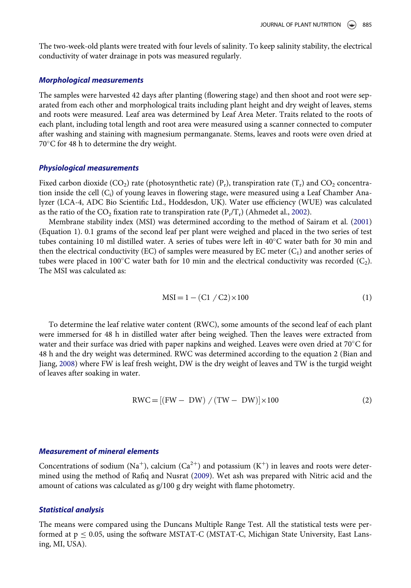The two-week-old plants were treated with four levels of salinity. To keep salinity stability, the electrical conductivity of water drainage in pots was measured regularly.

#### Morphological measurements

The samples were harvested 42 days after planting (flowering stage) and then shoot and root were separated from each other and morphological traits including plant height and dry weight of leaves, stems and roots were measured. Leaf area was determined by Leaf Area Meter. Traits related to the roots of each plant, including total length and root area were measured using a scanner connected to computer after washing and staining with magnesium permanganate. Stems, leaves and roots were oven dried at  $70^{\circ}$ C for 48 h to determine the dry weight.

#### Physiological measurements

Fixed carbon dioxide (CO<sub>2</sub>) rate (photosynthetic rate) (P<sub>r</sub>), transpiration rate (T<sub>r</sub>) and CO<sub>2</sub> concentration inside the cell  $(C_i)$  of young leaves in flowering stage, were measured using a Leaf Chamber Analyzer (LCA-4, ADC Bio Scientific Ltd., Hoddesdon, UK). Water use efficiency (WUE) was calculated as the ratio of the CO<sub>2</sub> fixation rate to transpiration rate  $(P_r/T_r)$  (Ahmedet al., [2002\)](#page-10-8).

Membrane stability index (MSI) was determined according to the method of Sairam et al. ([2001\)](#page-11-10) (Equation 1). 0.1 grams of the second leaf per plant were weighed and placed in the two series of test tubes containing 10 ml distilled water. A series of tubes were left in 40°C water bath for 30 min and then the electrical conductivity (EC) of samples were measured by EC meter  $(C_1)$  and another series of tubes were placed in 100°C water bath for 10 min and the electrical conductivity was recorded  $(C_2)$ . The MSI was calculated as:

$$
MSI = 1 - (C1 / C2) \times 100
$$
 (1)

To determine the leaf relative water content (RWC), some amounts of the second leaf of each plant were immersed for 48 h in distilled water after being weighed. Then the leaves were extracted from water and their surface was dried with paper napkins and weighed. Leaves were oven dried at  $70^{\circ}$ C for 48 h and the dry weight was determined. RWC was determined according to the equation 2 (Bian and Jiang, [2008\)](#page-10-9) where FW is leaf fresh weight, DW is the dry weight of leaves and TW is the turgid weight of leaves after soaking in water.

$$
RWC = [(FW - DW) / (TW - DW)] \times 100
$$
 (2)

#### Measurement of mineral elements

Concentrations of sodium (Na<sup>+</sup>), calcium (Ca<sup>2+</sup>) and potassium (K<sup>+</sup>) in leaves and roots were determined using the method of Rafiq and Nusrat ([2009\)](#page-11-8). Wet ash was prepared with Nitric acid and the amount of cations was calculated as g/100 g dry weight with flame photometry.

#### Statistical analysis

The means were compared using the Duncans Multiple Range Test. All the statistical tests were performed at  $p \le 0.05$ , using the software MSTAT-C (MSTAT-C, Michigan State University, East Lansing, MI, USA).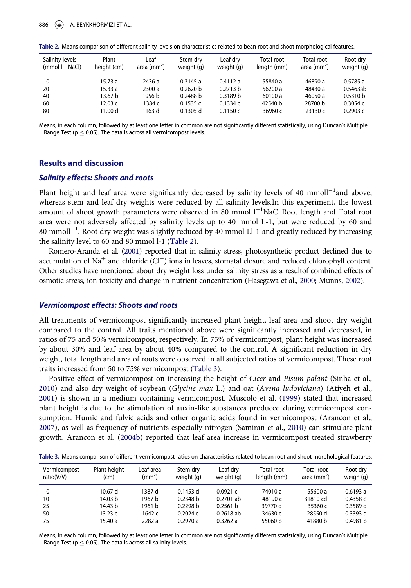| Salinity levels         | Plant       | Leaf                    | Stem dry   | Leaf drv            | <b>Total root</b> | <b>Total root</b>       | Root dry   |
|-------------------------|-------------|-------------------------|------------|---------------------|-------------------|-------------------------|------------|
| $(mmol)$ $l^{-1}$ NaCl) | height (cm) | area (mm <sup>2</sup> ) | weight (g) | weight (g)          | length (mm)       | area (mm <sup>2</sup> ) | weight (g) |
| 0                       | 15.73 a     | 2436 a                  | 0.3145a    | 0.4112a             | 55840 a           | 46890 a                 | 0.5785a    |
| 20                      | 15.33 a     | 2300 a                  | 0.2620 b   | 0.2713 b            | 56200 a           | 48430 a                 | 0.5463ab   |
| 40                      | 13.67 b     | 1956 b                  | 0.2488 b   | 0.3189 <sub>b</sub> | 60100 a           | 46050 a                 | 0.5310 b   |
| 60                      | 12.03 с     | 1384 c                  | 0.1535c    | 0.1334c             | 42540 b           | 28700 b                 | 0.3054c    |
| 80                      | 11.00 d     | 1163 d                  | $0.1305$ d | 0.1150c             | 36960 с           | 23130 c                 | 0.2903c    |

Table 2. Means comparison of different salinity levels on characteristics related to bean root and shoot morphological features.

<span id="page-4-0"></span>Means, in each column, followed by at least one letter in common are not significantly different statistically, using Duncan's Multiple Range Test ( $p \leq 0.05$ ). The data is across all vermicompost levels.

#### Results and discussion

#### Salinity effects: Shoots and roots

Plant height and leaf area were significantly decreased by salinity levels of 40  $mmoll^{-1}$ and above, whereas stem and leaf dry weights were reduced by all salinity levels.In this experiment, the lowest amount of shoot growth parameters were observed in 80 mmol  $l^{-1}$ NaCl.Root length and Total root area were not adversely affected by salinity levels up to 40 mmol L-1, but were reduced by 60 and 80 mmoll<sup>-1</sup>. Root dry weight was slightly reduced by 40 mmol Ll-1 and greatly reduced by increasing the salinity level to 60 and 80 mmol l-1 [\(Table 2\)](#page-4-0).

Romero-Aranda et al. [\(2001\)](#page-11-11) reported that in salinity stress, photosynthetic product declined due to accumulation of Na<sup>+</sup> and chloride (Cl<sup>-</sup>) ions in leaves, stomatal closure and reduced chlorophyll content. Other studies have mentioned about dry weight loss under salinity stress as a resultof combined effects of osmotic stress, ion toxicity and change in nutrient concentration (Hasegawa et al., [2000](#page-10-10); Munns, [2002\)](#page-11-12).

#### Vermicompost effects: Shoots and roots

All treatments of vermicompost significantly increased plant height, leaf area and shoot dry weight compared to the control. All traits mentioned above were significantly increased and decreased, in ratios of 75 and 50% vermicompost, respectively. In 75% of vermicompost, plant height was increased by about 30% and leaf area by about 40% compared to the control. A significant reduction in dry weight, total length and area of roots were observed in all subjected ratios of vermicompost. These root traits increased from 50 to 75% vermicompost [\(Table 3](#page-4-1)).

Positive effect of vermicompost on increasing the height of Cicer and Pisum palant (Sinha et al., [2010\)](#page-11-13) and also dry weight of soybean (Glycine max L.) and oat (Avena ludoviciana) (Atiyeh et al., [2001\)](#page-10-3) is shown in a medium containing vermicompost. Muscolo et al. ([1999\)](#page-11-4) stated that increased plant height is due to the stimulation of auxin-like substances produced during vermicompost consumption. Humic and fulvic acids and other organic acids found in vermicompost (Arancon et al., [2007\)](#page-10-11), as well as frequency of nutrients especially nitrogen (Samiran et al., [2010](#page-11-14)) can stimulate plant growth. Arancon et al. ([2004b\)](#page-10-12) reported that leaf area increase in vermicompost treated strawberry

Table 3. Means comparison of different vermicompost ratios on characteristics related to bean root and shoot morphological features.

| Vermicompost | Plant height | Leaf area    | Stem dry            | Leaf drv    | <b>Total root</b> | Total root    | Root dry  |
|--------------|--------------|--------------|---------------------|-------------|-------------------|---------------|-----------|
| ratio(V/V)   | (cm)         | $\rm (mm^2)$ | weight (g)          | weight (g)  | length (mm)       | area $(mm^2)$ | weigh (g) |
| 0            | 10.67 d      | 1387 d       | $0.1453$ d          | 0.0921c     | 74010 a           | 55600 a       | 0.6193a   |
| 10           | 14.03 b      | 1967 b       | 0.2348 <sub>b</sub> | $0.2701$ ab | 48190 c           | 31810 cd      | 0.4358c   |
| 25           | 14.43 b      | 1961 b       | 0.2298 b            | 0.2561 b    | 39770 d           | 35360 c       | 0.3589d   |
| 50           | 13.23 c      | 1642 с       | 0.2024c             | $0.2618$ ab | 34630 e           | 28550 d       | 0.3393 d  |
| 75           | 15.40 a      | 2282 a       | 0.2970a             | 0.3262a     | 55060 b           | 41880 b       | 0.4981 h  |

<span id="page-4-1"></span>Means, in each column, followed by at least one letter in common are not significantly different statistically, using Duncan's Multiple Range Test ( $p \leq 0.05$ ). The data is across all salinity levels.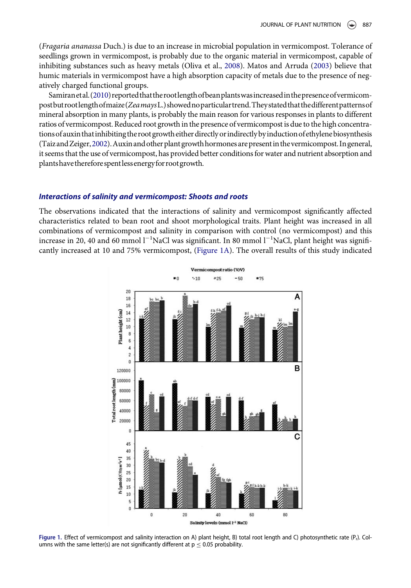(Fragaria ananassa Duch.) is due to an increase in microbial population in vermicompost. Tolerance of seedlings grown in vermicompost, is probably due to the organic material in vermicompost, capable of inhibiting substances such as heavy metals (Oliva et al., [2008](#page-11-9)). Matos and Arruda ([2003\)](#page-11-15) believe that humic materials in vermicompost have a high absorption capacity of metals due to the presence of negatively charged functional groups.

Samiranetal. [\(2010\)](#page-11-14) reported that the root length of bean plants was increased in the presence of vermicompostbutrootlengthofmaize(ZeamaysL.)showednoparticulartrend.Theystated that thedifferentpatternsof mineral absorption in many plants, is probably the main reason for various responses in plants to different ratios of vermicompost. Reduced root growth in the presence of vermicompost is due to the high concentrations ofauxin thatinhibiting the rootgrowth either directly orindirectly byinductionofethylene biosynthesis (TaizandZeiger,[2002](#page-11-16)).Auxinand other plantgrowthhormones are presentin thevermicompost. Ingeneral, it seems that the use of vermicompost, has provided better conditions for water and nutrient absorption and plantshave therefore spentlessenergyfor rootgrowth.

#### Interactions of salinity and vermicompost: Shoots and roots

<span id="page-5-0"></span>The observations indicated that the interactions of salinity and vermicompost significantly affected characteristics related to bean root and shoot morphological traits. Plant height was increased in all combinations of vermicompost and salinity in comparison with control (no vermicompost) and this increase in 20, 40 and 60 mmol  $l^{-1}$ NaCl was significant. In 80 mmol  $l^{-1}$ NaCl, plant height was significantly increased at 10 and 75% vermicompost, [\(Figure 1A](#page-5-0)). The overall results of this study indicated



Figure 1. Effect of vermicompost and salinity interaction on A) plant height, B) total root length and C) photosynthetic rate (P<sub>r</sub>). Columns with the same letter(s) are not significantly different at  $p \le 0.05$  probability.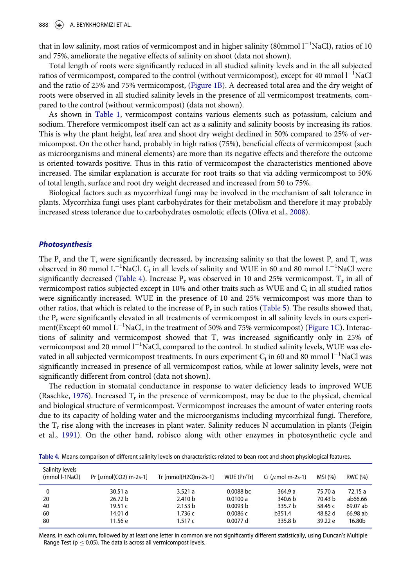888 ( $\Rightarrow$ ) A. BEYKKHORMIZI ET AL.

that in low salinity, most ratios of vermicompost and in higher salinity (80mmol  $l^{-1}$ NaCl), ratios of 10 and 75%, ameliorate the negative effects of salinity on shoot (data not shown).

Total length of roots were significantly reduced in all studied salinity levels and in the all subjected ratios of vermicompost, compared to the control (without vermicompost), except for 40 mmol  $\mathsf{l}^{-1}\mathsf{NaCl}$ and the ratio of 25% and 75% vermicompost, ([Figure 1B](#page-5-0)). A decreased total area and the dry weight of roots were observed in all studied salinity levels in the presence of all vermicompost treatments, compared to the control (without vermicompost) (data not shown).

As shown in [Table 1](#page-2-0), vermicompost contains various elements such as potassium, calcium and sodium. Therefore vermicompost itself can act as a salinity and salinity boosts by increasing its ratios. This is why the plant height, leaf area and shoot dry weight declined in 50% compared to 25% of vermicompost. On the other hand, probably in high ratios (75%), beneficial effects of vermicompost (such as microorganisms and mineral elements) are more than its negative effects and therefore the outcome is oriented towards positive. Thus in this ratio of vermicompost the characteristics mentioned above increased. The similar explanation is accurate for root traits so that via adding vermicompost to 50% of total length, surface and root dry weight decreased and increased from 50 to 75%.

Biological factors such as mycorrhizal fungi may be involved in the mechanism of salt tolerance in plants. Mycorrhiza fungi uses plant carbohydrates for their metabolism and therefore it may probably increased stress tolerance due to carbohydrates osmolotic effects (Oliva et al., [2008\)](#page-11-9).

#### Photosynthesis

The  $P_r$  and the  $T_r$  were significantly decreased, by increasing salinity so that the lowest  $P_r$  and  $T_r$  was observed in 80 mmol  $L^{-1}$ NaCl.  $C_i$  in all levels of salinity and WUE in 60 and 80 mmol  $L^{-1}$ NaCl were significantly decreased [\(Table 4\)](#page-6-0). Increase  $P_r$  was observed in 10 and 25% vermicompost.  $T_r$  in all of vermicompost ratios subjected except in 10% and other traits such as WUE and  $C_i$  in all studied ratios were significantly increased. WUE in the presence of 10 and 25% vermicompost was more than to other ratios, that which is related to the increase of  $P_r$  in such ratios ([Table 5](#page-7-0)). The results showed that, the  $P_r$  were significantly elevated in all treatments of vermicompost in all salinity levels in ours experi-ment(Except 60 mmol L<sup>-1</sup>NaCl, in the treatment of 50% and 75% vermicompost) ([Figure 1C\)](#page-5-0). Interactions of salinity and vermicompost showed that  $T_r$  was increased significantly only in 25% of vermicompost and 20 mmol  $l^{-1}$ NaCl, compared to the control. In studied salinity levels, WUE was elevated in all subjected vermicompost treatments. In ours experiment  $C_i$  in 60 and 80 mmol  ${\sf I}^{-1}$ NaCl was significantly increased in presence of all vermicompost ratios, while at lower salinity levels, were not significantly different from control (data not shown).

The reduction in stomatal conductance in response to water deficiency leads to improved WUE (Raschke, [1976](#page-11-17)). Increased  $T_r$  in the presence of vermicompost, may be due to the physical, chemical and biological structure of vermicompost. Vermicompost increases the amount of water entering roots due to its capacity of holding water and the microorganisms including mycorrhizal fungi. Therefore, the  $T_r$  rise along with the increases in plant water. Salinity reduces N accumulation in plants (Feigin et al., [1991\)](#page-10-13). On the other hand, robisco along with other enzymes in photosynthetic cycle and

Table 4. Means comparison of different salinity levels on characteristics related to bean root and shoot physiological features.

| Salinity levels<br>(mmol I-1NaCl) | Pr [ $\mu$ mol(CO2) m-2s-1] | Tr [mmol(H2O)m-2s-1] | WUE (Pr/Tr) | Ci ( $\mu$ mol m-2s-1) | MSI (%) | RWC (%)  |
|-----------------------------------|-----------------------------|----------------------|-------------|------------------------|---------|----------|
| 0                                 | 30.51a                      | 3.521a               | 0.0088 bc   | 364.9 a                | 75.70 a | 72.15a   |
| 20                                | 26.72 b                     | 2.410 <sub>b</sub>   | 0.0100a     | 340.6 b                | 70.43 b | ab66.66  |
| 40                                | 19.51 c                     | 2.153 b              | 0.0093 b    | 335.7 b                | 58.45 c | 69.07 ab |
| 60                                | 14.01 d                     | 1.736 с              | 0.0086c     | b351.4                 | 48.82 d | 66.98 ab |
| 80                                | 11.56 e                     | 1.517 $c$            | 0.0077 d    | 335.8 b                | 39.22 e | 16.80b   |

<span id="page-6-0"></span>Means, in each column, followed by at least one letter in common are not significantly different statistically, using Duncan's Multiple Range Test ( $p \leq 0.05$ ). The data is across all vermicompost levels.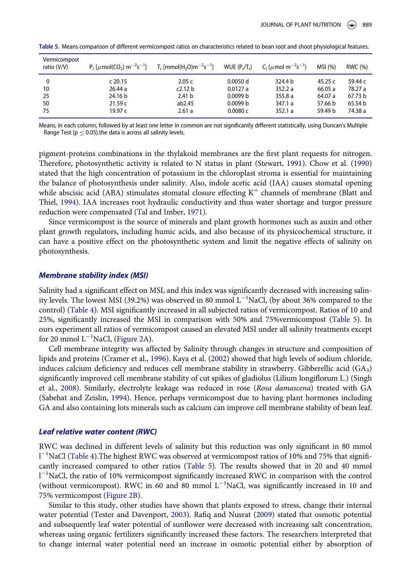| Vermicompost<br>ratio (V/V) |           | $P_r$ [ $\mu$ mol(CO <sub>2</sub> ) m <sup>-2</sup> s <sup>-1</sup> ] T <sub>r</sub> [mmol(H <sub>2</sub> O)m <sup>-2</sup> s <sup>-1</sup> ] | $WUE(P_r/T_r)$ | C <sub>i</sub> ( $\mu$ mol m <sup>-2</sup> s <sup>-1</sup> ) | MSI (%) | RWC (%) |
|-----------------------------|-----------|-----------------------------------------------------------------------------------------------------------------------------------------------|----------------|--------------------------------------------------------------|---------|---------|
| 0                           | $c$ 20.15 | 2.05c                                                                                                                                         | 0.0050 d       | 324.4 b                                                      | 45.25 c | 59.44 c |
| 10                          | 26.44a    | c2.12 b                                                                                                                                       | 0.0127a        | 352.2a                                                       | 66.05 a | 78.27 a |
| 25                          | 24.16 b   | 2.41 <sub>b</sub>                                                                                                                             | 0.0099 b       | 355.8a                                                       | 64.07 a | 67.73 b |
| 50                          | 21.59c    | ab2.45                                                                                                                                        | 0.0099 b       | 347.1 a                                                      | 57.66 b | 65.54 b |
| 75                          | 19.97 $c$ | 2.61a                                                                                                                                         | 0.0080c        | 352.1a                                                       | 59.49 b | 74.38 a |

Table 5. Means comparison of different vermicompost ratios on characteristics related to bean root and shoot physiological features.

<span id="page-7-0"></span>Means, in each column, followed by at least one letter in common are not significantly different statistically, using Duncan's Multiple Range Test ( $p \leq 0.05$ ).the data is across all salinity levels.

pigment-proteins combinations in the thylakoid membranes are the first plant requests for nitrogen. Therefore, photosynthetic activity is related to N status in plant (Stewart, [1991\)](#page-11-18). Chow et al. ([1990\)](#page-10-14) stated that the high concentration of potassium in the chloroplast stroma is essential for maintaining the balance of photosynthesis under salinity. Also, indole acetic acid (IAA) causes stomatal opening while abscisic acid (ABA) stimulates stomatal closure effecting  $K^+$  channels of membrane (Blatt and Thiel, [1994](#page-10-15)). IAA increases root hydraulic conductivity and thus water shortage and turgor pressure reduction were compensated (Tal and Imber, [1971\)](#page-11-19).

Since vermicompost is the source of minerals and plant growth hormones such as auxin and other plant growth regulators, including humic acids, and also because of its physicochemical structure, it can have a positive effect on the photosynthetic system and limit the negative effects of salinity on photosynthesis.

#### Membrane stability index (MSI)

Salinity had a significant effect on MSI, and this index was significantly decreased with increasing salinity levels. The lowest MSI (39.2%) was observed in 80 mmol  $\rm L^{-1}NaCl$ , (by about 36% compared to the control) ([Table 4](#page-6-0)). MSI significantly increased in all subjected ratios of vermicompost. Ratios of 10 and 25%, significantly increased the MSI in comparison with 50% and 75%vermicompost [\(Table 5\)](#page-7-0). In ours experiment all ratios of vermicompost caused an elevated MSI under all salinity treatments except for 20 mmol  $L^{-1}$ NaCl, [\(Figure 2A](#page-8-0)).

Cell membrane integrity was affected by Salinity through changes in structure and composition of lipids and proteins (Cramer et al., [1996\)](#page-10-16). Kaya et al. ([2002\)](#page-11-20) showed that high levels of sodium chloride, induces calcium deficiency and reduces cell membrane stability in strawberry. Gibberellic acid (GA3) significantly improved cell membrane stability of cut spikes of gladiolus (Lilium longiflorum L.) (Singh et al., [2008\)](#page-11-21). Similarly, electrolyte leakage was reduced in rose (Rosa damascena) treated with GA (Sabehat and Zeislin, [1994\)](#page-11-22). Hence, perhaps vermicompost due to having plant hormones including GA and also containing lots minerals such as calcium can improve cell membrane stability of bean leaf.

#### Leaf relative water content (RWC)

RWC was declined in different levels of salinity but this reduction was only significant in 80 mmol 1<sup>-1</sup>NaCl [\(Table 4](#page-6-0)). The highest RWC was observed at vermicompost ratios of 10% and 75% that significantly increased compared to other ratios ([Table 5\)](#page-7-0). The results showed that in 20 and 40 mmol 1<sup>-1</sup>NaCl, the ratio of 10% vermicompost significantly increased RWC in comparison with the control (without vermicompost). RWC in  $60$  and  $80$  mmol L<sup>-1</sup>NaCl, was significantly increased in 10 and 75% vermicompost [\(Figure 2B\)](#page-8-0).

Similar to this study, other studies have shown that plants exposed to stress, change their internal water potential (Tester and Davenport, [2003\)](#page-11-23). Rafiq and Nusrat [\(2009](#page-11-8)) stated that osmotic potential and subsequently leaf water potential of sunflower were decreased with increasing salt concentration, whereas using organic fertilizers significantly increased these factors. The researchers interpreted that to change internal water potential need an increase in osmotic potential either by absorption of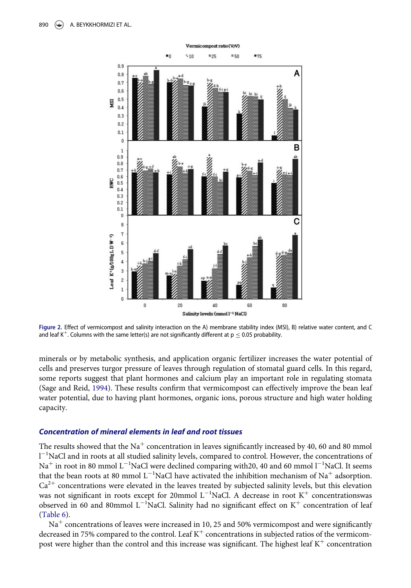<span id="page-8-0"></span>

Figure 2. Effect of vermicompost and salinity interaction on the A) membrane stability index (MSI), B) relative water content, and C and leaf K<sup>+</sup>. Columns with the same letter(s) are not significantly different at  $p \le 0.05$  probability.

minerals or by metabolic synthesis, and application organic fertilizer increases the water potential of cells and preserves turgor pressure of leaves through regulation of stomatal guard cells. In this regard, some reports suggest that plant hormones and calcium play an important role in regulating stomata (Sage and Reid, [1994](#page-11-24)). These results confirm that vermicompost can effectively improve the bean leaf water potential, due to having plant hormones, organic ions, porous structure and high water holding capacity.

#### Concentration of mineral elements in leaf and root tissues

The results showed that the Na<sup>+</sup> concentration in leaves significantly increased by 40, 60 and 80 mmol 1<sup>-1</sup>NaCl and in roots at all studied salinity levels, compared to control. However, the concentrations of  $\mathrm{Na}^+$  in root in 80 mmol  $\mathrm{L}^{-1}\mathrm{NaCl}$  were declined comparing with20, 40 and 60 mmol  $\mathrm{l}^{-1}\mathrm{NaCl}$ . It seems that the bean roots at 80 mmol L<sup>-1</sup>NaCl have activated the inhibition mechanism of Na<sup>+</sup> adsorption.  $Ca<sup>2+</sup>$  concentrations were elevated in the leaves treated by subjected salinity levels, but this elevation was not significant in roots except for 20mmol  $L^{-1}$ NaCl. A decrease in root  $K^{+}$  concentrationswas observed in 60 and 80mmol L<sup>-1</sup>NaCl. Salinity had no significant effect on K<sup>+</sup> concentration of leaf [\(Table 6\)](#page-9-0).

 $Na<sup>+</sup>$  concentrations of leaves were increased in 10, 25 and 50% vermicompost and were significantly decreased in 75% compared to the control. Leaf  $K^+$  concentrations in subjected ratios of the vermicompost were higher than the control and this increase was significant. The highest leaf  $K^+$  concentration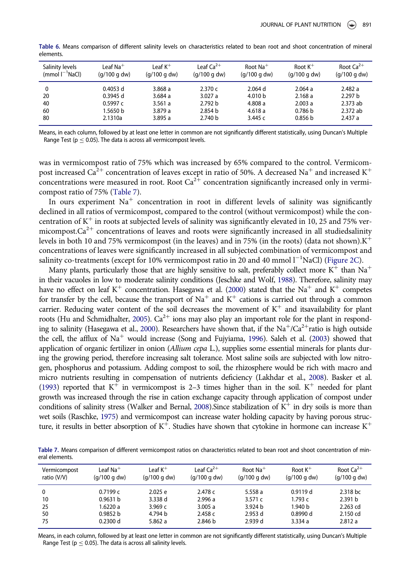| Salinity levels<br>$(mmol I^{-1}NaCl)$ | Leaf Na $^+$<br>(g/100 g dw) | Leaf $K^+$<br>(q/100 q dw) | Leaf $Ca^{2+}$<br>(q/100 q dw) | Root $Na+$<br>(q/100 q dw) | Root $K^+$<br>(q/100 q dw) | Root $Ca^{2+}$<br>(q/100 q dw) |
|----------------------------------------|------------------------------|----------------------------|--------------------------------|----------------------------|----------------------------|--------------------------------|
| 0                                      | $0.4053$ d                   | 3.868a                     | 2.370c                         | $2.064$ d                  | 2.064a                     | 2.482a                         |
| 20                                     | $0.3945$ d                   | 3.684a                     | 3.027a                         | 4.010 <sub>b</sub>         | 2.168a                     | 2.297 b                        |
| 40                                     | 0.5997c                      | 3.561a                     | 2.792 b                        | 4.808a                     | 2.003a                     | 2.373 ab                       |
| 60                                     | 1.5650 b                     | 3.879a                     | 2.854 b                        | 4.618a                     | 0.786 b                    | 2.372 ab                       |
| 80                                     | 2.1310a                      | 3.895a                     | 2.740 b                        | 3.445c                     | 0.856 <sub>b</sub>         | 2.437a                         |

Table 6. Means comparison of different salinity levels on characteristics related to bean root and shoot concentration of mineral elements.

<span id="page-9-0"></span>Means, in each column, followed by at least one letter in common are not significantly different statistically, using Duncan's Multiple Range Test ( $p \leq 0.05$ ). The data is across all vermicompost levels.

was in vermicompost ratio of 75% which was increased by 65% compared to the control. Vermicompost increased Ca<sup>2+</sup> concentration of leaves except in ratio of 50%. A decreased Na<sup>+</sup> and increased K<sup>+</sup> concentrations were measured in root. Root  $Ca^{2+}$  concentration significantly increased only in vermicompost ratio of 75% ([Table 7\)](#page-9-1).

In ours experiment  $Na<sup>+</sup>$  concentration in root in different levels of salinity was significantly declined in all ratios of vermicompost, compared to the control (without vermicompost) while the concentration of  $K^+$  in roots at subjected levels of salinity was significantly elevated in 10, 25 and 75% vermicompost. $Ca^{2+}$  concentrations of leaves and roots were significantly increased in all studiedsalinity levels in both 10 and 75% vermicompost (in the leaves) and in 75% (in the roots) (data not shown). $K^+$ concentrations of leaves were significantly increased in all subjected combination of vermicompost and salinity co-treatments (except for 10% vermicompost ratio in 20 and 40 mmol  $l^{-1}$ NaCl) [\(Figure 2C](#page-8-0)).

Many plants, particularly those that are highly sensitive to salt, preferably collect more  $K^+$  than Na<sup>+</sup> in their vacuoles in low to moderate salinity conditions (Jeschke and Wolf, [1988\)](#page-11-25). Therefore, salinity may have no effect on leaf K<sup>+</sup> concentration. Hasegawa et al. ([2000](#page-10-10)) stated that the Na<sup>+</sup> and K<sup>+</sup> competes for transfer by the cell, because the transport of  $Na<sup>+</sup>$  and  $K<sup>+</sup>$  cations is carried out through a common carrier. Reducing water content of the soil decreases the movement of  $K^+$  and itsavailability for plant roots (Hu and Schmidhalter, [2005\)](#page-11-26).  $Ca^{2+}$  ions may also play an important role for the plant in respond-ing to salinity (Hasegawa et al., [2000](#page-10-10)). Researchers have shown that, if the  $Na^+/Ca^{2+}$ ratio is high outside the cell, the afflux of  $Na<sup>+</sup>$  would increase (Song and Fujyiama, [1996\)](#page-11-27). Saleh et al. ([2003\)](#page-11-28) showed that application of organic fertilizer in onion (Allium cepa L.), supplies some essential minerals for plants during the growing period, therefore increasing salt tolerance. Most saline soils are subjected with low nitrogen, phosphorus and potassium. Adding compost to soil, the rhizosphere would be rich with macro and micro nutrients resulting in compensation of nutrients deficiency (Lakhdar et al., [2008](#page-11-29)). Basker et al. [\(1993](#page-10-17)) reported that  $K^+$  in vermicompost is 2-3 times higher than in the soil.  $K^+$  needed for plant growth was increased through the rise in cation exchange capacity through application of compost under conditions of salinity stress (Walker and Bernal, [2008](#page-11-30)). Since stabilization of  $K^+$  in dry soils is more than wet soils (Raschke, [1975\)](#page-11-31) and vermicompost can increase water holding capacity by having porous structure, it results in better absorption of  $K^+$ . Studies have shown that cytokine in hormone can increase  $K^+$ 

Table 7. Means comparison of different vermicompost ratios on characteristics related to bean root and shoot concentration of mineral elements.

| Vermicompost | Leaf Na $^+$        | l eaf $K^+$  | Leaf $Ca^{2+}$ | Root $Na+$         | Root $K^+$         | Root $Ca^{2+}$     |
|--------------|---------------------|--------------|----------------|--------------------|--------------------|--------------------|
| ratio (V/V)  | (q/100 q dw)        | (q/100 q dw) | (q/100 q dw)   | (q/100 q dw)       | (q/100 q dw)       | (q/100 q dw)       |
| 0            | 0.7199c             | 2.025 e      | 2.478c         | 5.558 a            | 0.9119d            | 2.318 bc           |
| 10           | 0.9631 h            | 3.338 d      | 2.996a         | 3.571 $c$          | 1.793 $c$          | 2.391 <sub>b</sub> |
| 25           | 1.6220 a            | 3.969c       | 3.005a         | 3.924 <sub>b</sub> | 1.940 <sub>b</sub> | 2.263 cd           |
| 50           | 0.9852 <sub>b</sub> | 4.794 b      | 2.458c         | 2.953 d            | 0.8990d            | 2.150 cd           |
| 75           | 0.2300 d            | 5.862 a      | 2.846 b        | 2.939 d            | 3.334a             | 2.812a             |

<span id="page-9-1"></span>Means, in each column, followed by at least one letter in common are not significantly different statistically, using Duncan's Multiple Range Test ( $p \leq 0.05$ ). The data is across all salinity levels.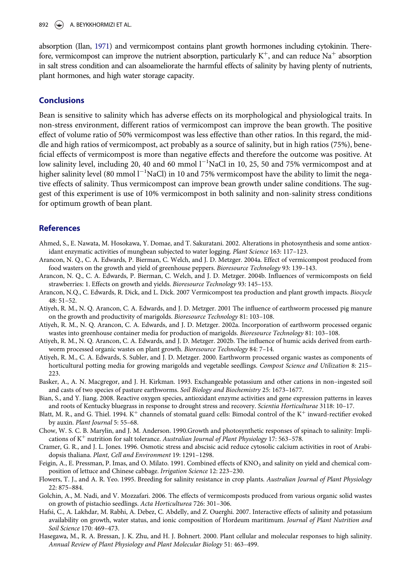892  $\leftrightarrow$  A. BEYKKHORMIZI ET AL.

absorption (Ilan, [1971](#page-11-32)) and vermicompost contains plant growth hormones including cytokinin. Therefore, vermicompost can improve the nutrient absorption, particularly  $K^+$ , and can reduce Na<sup>+</sup> absorption in salt stress condition and can alsoameliorate the harmful effects of salinity by having plenty of nutrients, plant hormones, and high water storage capacity.

#### **Conclusions**

Bean is sensitive to salinity which has adverse effects on its morphological and physiological traits. In non-stress environment, different ratios of vermicompost can improve the bean growth. The positive effect of volume ratio of 50% vermicompost was less effective than other ratios. In this regard, the middle and high ratios of vermicompost, act probably as a source of salinity, but in high ratios (75%), beneficial effects of vermicompost is more than negative effects and therefore the outcome was positive. At low salinity level, including 20, 40 and 60 mmol  $l^{-1}$ NaCl in 10, 25, 50 and 75% vermicompost and at higher salinity level (80 mmol l<sup>-1</sup>NaCl) in 10 and 75% vermicompost have the ability to limit the negative effects of salinity. Thus vermicompost can improve bean growth under saline conditions. The suggest of this experiment is use of 10% vermicompost in both salinity and non-salinity stress conditions for optimum growth of bean plant.

#### References

- <span id="page-10-8"></span>Ahmed, S., E. Nawata, M. Hosokawa, Y. Domae, and T. Sakuratani. 2002. Alterations in photosynthesis and some antioxidant enzymatic activities of mungbean subjected to water logging. Plant Science 163: 117–123.
- <span id="page-10-5"></span>Arancon, N. Q., C. A. Edwards, P. Bierman, C. Welch, and J. D. Metzger. 2004a. Effect of vermicompost produced from food wasters on the growth and yield of greenhouse peppers. Bioresource Technology 93: 139–143.
- <span id="page-10-12"></span>Arancon, N. Q., C. A. Edwards, P. Bierman, C. Welch, and J. D. Metzger. 2004b. Influences of vermicomposts on field strawberries: 1. Effects on growth and yields. Bioresource Technology 93: 145–153.
- <span id="page-10-11"></span>Arancon, N.Q., C. Edwards, R. Dick, and L. Dick. 2007 Vermicompost tea production and plant growth impacts. Biocycle 48: 51–52.
- <span id="page-10-3"></span>Atiyeh, R. M., N. Q. Arancon, C. A. Edwards, and J. D. Metzger. 2001 The influence of earthworm processed pig manure on the growth and productivity of marigolds. Bioresource Technology 81: 103–108.
- <span id="page-10-2"></span>Atiyeh, R. M., N. Q. Arancon, C. A. Edwards, and J. D. Metzger. 2002a. Incorporation of earthworm processed organic wastes into greenhouse container media for production of marigolds. Bioresource Technology 81: 103–108.
- <span id="page-10-6"></span>Atiyeh, R. M., N. Q. Arancon, C. A. Edwards, and J. D. Metzger. 2002b. The influence of humic acids derived from earthworm processed organic wastes on plant growth. Bioresource Technology 84: 7-14.
- <span id="page-10-4"></span>Atiyeh, R. M., C. A. Edwards, S. Subler, and J. D. Metzger. 2000. Earthworm processed organic wastes as components of horticultural potting media for growing marigolds and vegetable seedlings. Compost Science and Utilization 8: 215– 223.
- <span id="page-10-17"></span>Basker, A., A. N. Macgregor, and J. H. Kirkman. 1993. Exchangeable potassium and other cations in non–ingested soil and casts of two species of pasture earthworms. Soil Biology and Biochemistry 25: 1673–1677.
- <span id="page-10-9"></span>Bian, S., and Y. Jiang. 2008. Reactive oxygen species, antioxidant enzyme activities and gene expression patterns in leaves and roots of Kentucky bluegrass in response to drought stress and recovery. Scientia Horticulturae 3118: 10–17.
- <span id="page-10-15"></span>Blatt, M. R., and G. Thiel. 1994.  $K^+$  channels of stomatal guard cells: Bimodal control of the  $K^+$  inward-rectifier evoked by auxin. Plant Journal 5: 55–68.
- <span id="page-10-14"></span>Chow, W. S. C. B. Marylin, and J. M. Anderson. 1990.Growth and photosynthetic responses of spinach to salinity: Implications of  $K^+$  nutrition for salt tolerance. Australian Journal of Plant Physiology 17: 563–578.
- <span id="page-10-16"></span>Cramer, G. R., and J. L. Jones. 1996. Osmotic stress and abscisic acid reduce cytosolic calcium activities in root of Arabidopsis thaliana. Plant, Cell and Environment 19: 1291–1298.
- <span id="page-10-13"></span>Feigin, A., E. Pressman, P. Imas, and O. Milato. 1991. Combined effects of KNO<sub>3</sub> and salinity on yield and chemical composition of lettuce and Chinese cabbage. Irrigation Science 12: 223–230.
- <span id="page-10-0"></span>Flowers, T. J., and A. R. Yeo. 1995. Breeding for salinity resistance in crop plants. Australian Journal of Plant Physiology 22: 875–884.
- <span id="page-10-7"></span>Golchin, A., M. Nadi, and V. Mozzafari. 2006. The effects of vermicomposts produced from various organic solid wastes on growth of pistachio seedlings. Acta Horticulturea 726: 301–306.
- <span id="page-10-1"></span>Hafsi, C., A. Lakhdar, M. Rabhi, A. Debez, C. Abdelly, and Z. Ouerghi. 2007. Interactive effects of salinity and potassium availability on growth, water status, and ionic composition of Hordeum maritimum. Journal of Plant Nutrition and Soil Science 170: 469–473.
- <span id="page-10-10"></span>Hasegawa, M., R. A. Bressan, J. K. Zhu, and H. J. Bohnert. 2000. Plant cellular and molecular responses to high salinity. Annual Review of Plant Physiology and Plant Molecular Biology 51: 463–499.